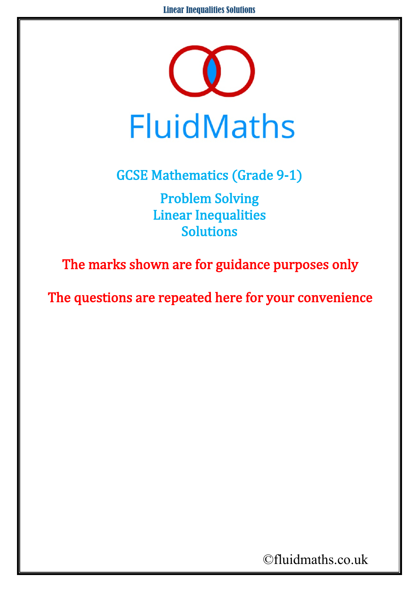

GCSE Mathematics (Grade 9-1) Problem Solving Linear Inequalities Solutions

The marks shown are for guidance purposes only

The questions are repeated here for your convenience

©fluidmaths.co.uk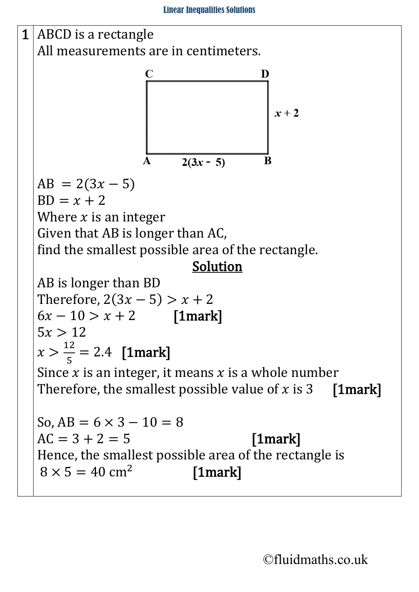

©fluidmaths.co.uk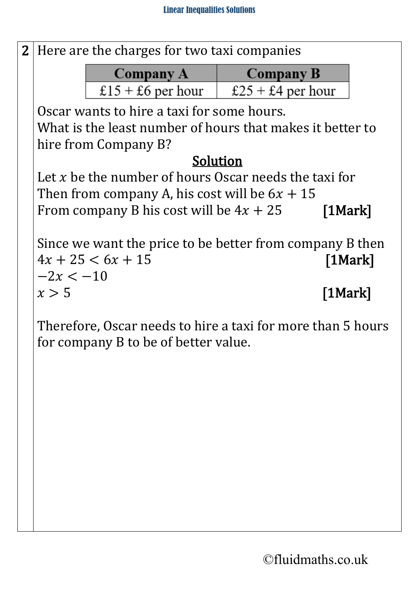

Therefore, Oscar needs to hire a taxi for more than 5 hours for company B to be of better value.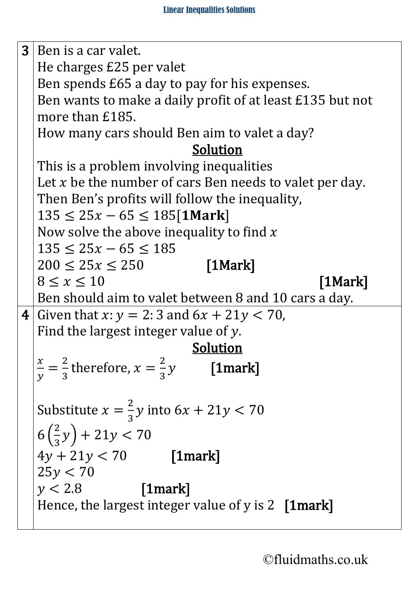$3$  Ben is a car valet. He charges £25 per valet Ben spends £65 a day to pay for his expenses. Ben wants to make a daily profit of at least £135 but not more than £185. How many cars should Ben aim to valet a day? Solution This is a problem involving inequalities Let  $x$  be the number of cars Ben needs to valet per day. Then Ben's profits will follow the inequality,  $135 \leq 25x - 65 \leq 185$ [1Mark] Now solve the above inequality to find  $x$  $135 \leq 25x - 65 \leq 185$  $200 \le 25x \le 250$  [1Mark]  $8 \leq x \leq 10$  [1Mark] Ben should aim to valet between 8 and 10 cars a day. 4 Given that  $x: y = 2: 3$  and  $6x + 21y < 70$ , Find the largest integer value of y.<br>Solution  $\frac{x}{2} - \frac{2}{x}$  therefore  $x - \frac{2}{x}y$  [1 morg  $\frac{1}{y}$  = 2  $\frac{1}{3}$  therefore,  $x =$ 2  $\frac{1}{3}$  [1mark] Substitute  $x =$ 2  $\frac{1}{3}$ y into 6x + 21y < 70  $6($ 2  $\frac{1}{3}y$  + 21y < 70  $4y + 21y < 70$  [1mark]  $25y < 70$  $y < 2.8$  [1mark] Hence, the largest integer value of y is 2 [1mark]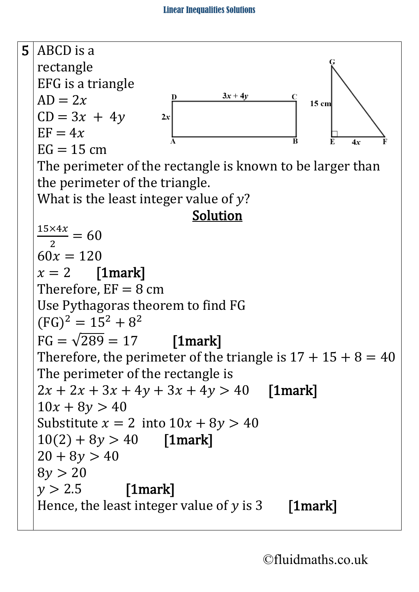

©fluidmaths.co.uk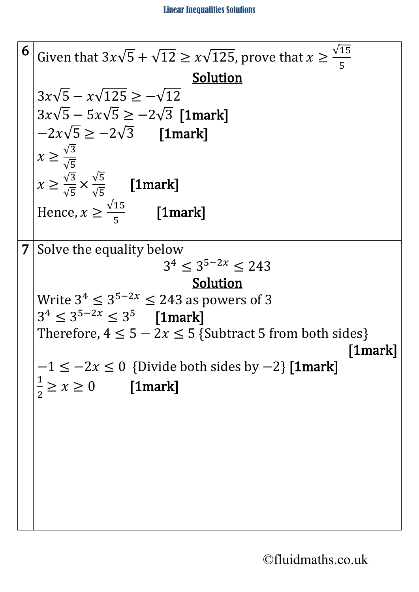6 Given that 
$$
3x\sqrt{5} + \sqrt{12} \ge x\sqrt{125}
$$
, prove that  $x \ge \frac{\sqrt{15}}{5}$   
\n $3x\sqrt{5} - x\sqrt{125} \ge -\sqrt{12}$   
\n $3x\sqrt{5} - 5x\sqrt{5} \ge -2\sqrt{3}$  [1mark]  
\n $-2x\sqrt{5} \ge -2\sqrt{3}$  [1mark]  
\n $x \ge \frac{\sqrt{3}}{\sqrt{5}}$  [1mark]  
\n $x \ge \frac{\sqrt{3}}{\sqrt{5}}$  [1mark]  
\nHence,  $x \ge \frac{\sqrt{15}}{5}$  [1mark]  
\n7 Solve the equality below  
\n $3^4 \le 3^{5-2x} \le 243$   
\n $3 \le 3^{5-2x} \le 243$  so powers of 3  
\n $3^4 \le 3^{5-2x} \le 3^5$  [1mark]  
\nTherefore,  $4 \le 5 - 2x \le 5$  {Subtract 5 from both sides}  
\n $-1 \le -2x \le 0$  {Divide both sides by -2} [1mark]  
\n $\frac{1}{2} \ge x \ge 0$  [1mark]  
\n $\frac{1}{2} \ge x \ge 0$  [1mark]